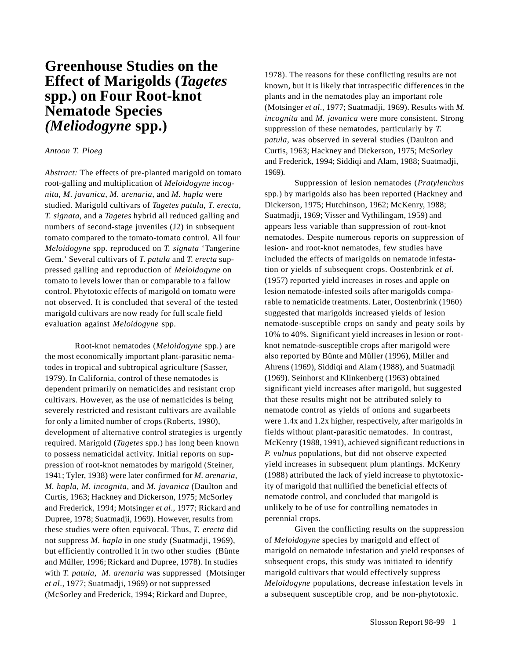# **Greenhouse Studies on the Effect of Marigolds (***Tagetes* **spp.) on Four Root-knot Nematode Species** *(Meliodogyne* **spp.)**

## *Antoon T. Ploeg*

*Abstract:* The effects of pre-planted marigold on tomato root-galling and multiplication of *Meloidogyne incognita, M. javanica, M. arenaria,* and *M. hapla* were studied. Marigold cultivars of *Tagetes patula, T. erecta, T. signata*, and a *Tagetes* hybrid all reduced galling and numbers of second-stage juveniles (J2) in subsequent tomato compared to the tomato-tomato control. All four *Meloidogyne* spp. reproduced on *T. signata* 'Tangerine Gem.' Several cultivars of *T. patula* and *T. erecta* suppressed galling and reproduction of *Meloidogyne* on tomato to levels lower than or comparable to a fallow control. Phytotoxic effects of marigold on tomato were not observed. It is concluded that several of the tested marigold cultivars are now ready for full scale field evaluation against *Meloidogyne* spp.

Root-knot nematodes (*Meloidogyne* spp.) are the most economically important plant-parasitic nematodes in tropical and subtropical agriculture (Sasser, 1979). In California, control of these nematodes is dependent primarily on nematicides and resistant crop cultivars. However, as the use of nematicides is being severely restricted and resistant cultivars are available for only a limited number of crops (Roberts, 1990), development of alternative control strategies is urgently required. Marigold (*Tagetes* spp.) has long been known to possess nematicidal activity. Initial reports on suppression of root-knot nematodes by marigold (Steiner, 1941; Tyler, 1938) were later confirmed for *M. arenaria, M. hapla*, *M. incognita*, and *M. javanica* (Daulton and Curtis, 1963; Hackney and Dickerson, 1975; McSorley and Frederick, 1994; Motsinger *et al*.*,* 1977; Rickard and Dupree, 1978; Suatmadji, 1969). However, results from these studies were often equivocal. Thus, *T. erecta* did not suppress *M. hapla* in one study (Suatmadji, 1969), but efficiently controlled it in two other studies (Bünte and Müller, 1996; Rickard and Dupree, 1978). In studies with *T. patula*, *M. arenaria* was suppressed (Motsinger *et al*.*,* 1977; Suatmadji, 1969) or not suppressed (McSorley and Frederick, 1994; Rickard and Dupree,

1978). The reasons for these conflicting results are not known, but it is likely that intraspecific differences in the plants and in the nematodes play an important role (Motsinger *et al*.*,* 1977; Suatmadji, 1969). Results with *M. incognita* and *M. javanica* were more consistent. Strong suppression of these nematodes, particularly by *T. patula*, was observed in several studies (Daulton and Curtis, 1963; Hackney and Dickerson*,* 1975; McSorley and Frederick, 1994; Siddiqi and Alam, 1988; Suatmadji, 1969).

Suppression of lesion nematodes (*Pratylenchus* spp.) by marigolds also has been reported (Hackney and Dickerson, 1975; Hutchinson, 1962; McKenry, 1988; Suatmadji, 1969; Visser and Vythilingam, 1959) and appears less variable than suppression of root-knot nematodes. Despite numerous reports on suppression of lesion- and root-knot nematodes, few studies have included the effects of marigolds on nematode infestation or yields of subsequent crops. Oostenbrink *et al.* (1957) reported yield increases in roses and apple on lesion nematode-infested soils after marigolds comparable to nematicide treatments. Later, Oostenbrink (1960) suggested that marigolds increased yields of lesion nematode-susceptible crops on sandy and peaty soils by 10% to 40%. Significant yield increases in lesion or rootknot nematode-susceptible crops after marigold were also reported by Bünte and Müller (1996), Miller and Ahrens (1969), Siddiqi and Alam (1988), and Suatmadji (1969). Seinhorst and Klinkenberg (1963) obtained significant yield increases after marigold, but suggested that these results might not be attributed solely to nematode control as yields of onions and sugarbeets were 1.4x and 1.2x higher, respectively, after marigolds in fields without plant-parasitic nematodes. In contrast, McKenry (1988, 1991), achieved significant reductions in *P. vulnus* populations, but did not observe expected yield increases in subsequent plum plantings. McKenry (1988) attributed the lack of yield increase to phytotoxicity of marigold that nullified the beneficial effects of nematode control, and concluded that marigold is unlikely to be of use for controlling nematodes in perennial crops.

Given the conflicting results on the suppression of *Meloidogyne* species by marigold and effect of marigold on nematode infestation and yield responses of subsequent crops, this study was initiated to identify marigold cultivars that would effectively suppress *Meloidogyne* populations, decrease infestation levels in a subsequent susceptible crop, and be non-phytotoxic.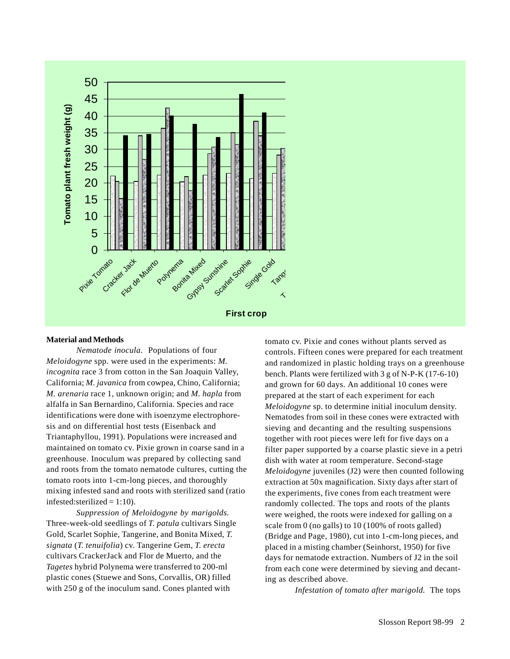

## **Material and Methods**

*Nematode inocula.* Populations of four *Meloidogyne* spp. were used in the experiments: *M. incognita* race 3 from cotton in the San Joaquin Valley, California; *M. javanica* from cowpea, Chino, California; *M. arenaria* race 1, unknown origin; and *M. hapla* from alfalfa in San Bernardino, California. Species and race identifications were done with isoenzyme electrophoresis and on differential host tests (Eisenback and Triantaphyllou, 1991). Populations were increased and maintained on tomato cv. Pixie grown in coarse sand in a greenhouse. Inoculum was prepared by collecting sand and roots from the tomato nematode cultures, cutting the tomato roots into 1-cm-long pieces, and thoroughly mixing infested sand and roots with sterilized sand (ratio infested: sterilized  $= 1:10$ ).

*Suppression of Meloidogyne by marigolds.* Three-week-old seedlings of *T. patula* cultivars Single Gold, Scarlet Sophie, Tangerine, and Bonita Mixed, *T. signata* (*T. tenuifolia*) cv. Tangerine Gem, *T. erecta* cultivars CrackerJack and Flor de Muerto, and the *Tagetes* hybrid Polynema were transferred to 200-ml plastic cones (Stuewe and Sons, Corvallis, OR) filled with 250 g of the inoculum sand. Cones planted with

tomato cv. Pixie and cones without plants served as controls. Fifteen cones were prepared for each treatment and randomized in plastic holding trays on a greenhouse bench. Plants were fertilized with 3 g of N-P-K (17-6-10) and grown for 60 days. An additional 10 cones were prepared at the start of each experiment for each *Meloidogyne* sp. to determine initial inoculum density. Nematodes from soil in these cones were extracted with sieving and decanting and the resulting suspensions together with root pieces were left for five days on a filter paper supported by a coarse plastic sieve in a petri dish with water at room temperature. Second-stage *Meloidogyne* juveniles (J2) were then counted following extraction at 50x magnification. Sixty days after start of the experiments, five cones from each treatment were randomly collected. The tops and roots of the plants were weighed, the roots were indexed for galling on a scale from 0 (no galls) to 10 (100% of roots galled) (Bridge and Page, 1980), cut into 1-cm-long pieces, and placed in a misting chamber (Seinhorst, 1950) for five days for nematode extraction. Numbers of J2 in the soil from each cone were determined by sieving and decanting as described above.

*Infestation of tomato after marigold.* The tops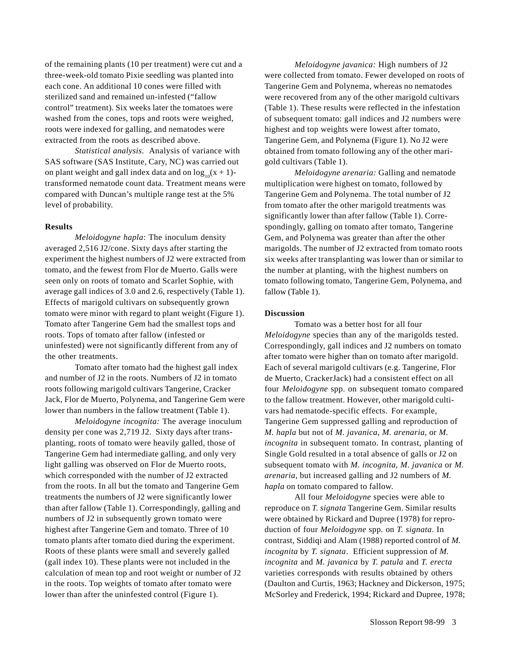of the remaining plants (10 per treatment) were cut and a three-week-old tomato Pixie seedling was planted into each cone. An additional 10 cones were filled with sterilized sand and remained un-infested ("fallow control" treatment). Six weeks later the tomatoes were washed from the cones, tops and roots were weighed, roots were indexed for galling, and nematodes were extracted from the roots as described above.

*Statistical analysis.* Analysis of variance with SAS software (SAS Institute, Cary, NC) was carried out on plant weight and gall index data and on  $\log_{10}(x + 1)$ transformed nematode count data. Treatment means were compared with Duncan's multiple range test at the 5% level of probability.

#### **Results**

*Meloidogyne hapla*: The inoculum density averaged 2,516 J2/cone. Sixty days after starting the experiment the highest numbers of J2 were extracted from tomato, and the fewest from Flor de Muerto. Galls were seen only on roots of tomato and Scarlet Sophie, with average gall indices of 3.0 and 2.6, respectively (Table 1). Effects of marigold cultivars on subsequently grown tomato were minor with regard to plant weight (Figure 1). Tomato after Tangerine Gem had the smallest tops and roots. Tops of tomato after fallow (infested or uninfested) were not significantly different from any of the other treatments.

Tomato after tomato had the highest gall index and number of J2 in the roots. Numbers of J2 in tomato roots following marigold cultivars Tangerine, Cracker Jack, Flor de Muerto, Polynema, and Tangerine Gem were lower than numbers in the fallow treatment (Table 1).

*Meloidogyne incognita:* The average inoculum density per cone was 2,719 J2. Sixty days after transplanting, roots of tomato were heavily galled, those of Tangerine Gem had intermediate galling, and only very light galling was observed on Flor de Muerto roots, which corresponded with the number of J2 extracted from the roots. In all but the tomato and Tangerine Gem treatments the numbers of J2 were significantly lower than after fallow (Table 1). Correspondingly, galling and numbers of J2 in subsequently grown tomato were highest after Tangerine Gem and tomato. Three of 10 tomato plants after tomato died during the experiment. Roots of these plants were small and severely galled (gall index 10). These plants were not included in the calculation of mean top and root weight or number of J2 in the roots. Top weights of tomato after tomato were lower than after the uninfested control (Figure 1).

*Meloidogyne javanica:* High numbers of J2 were collected from tomato. Fewer developed on roots of Tangerine Gem and Polynema, whereas no nematodes were recovered from any of the other marigold cultivars (Table 1). These results were reflected in the infestation of subsequent tomato: gall indices and J2 numbers were highest and top weights were lowest after tomato, Tangerine Gem, and Polynema (Figure 1). No J2 were obtained from tomato following any of the other marigold cultivars (Table 1).

*Meloidogyne arenaria:* Galling and nematode multiplication were highest on tomato, followed by Tangerine Gem and Polynema. The total number of J2 from tomato after the other marigold treatments was significantly lower than after fallow (Table 1). Correspondingly, galling on tomato after tomato, Tangerine Gem, and Polynema was greater than after the other marigolds. The number of J2 extracted from tomato roots six weeks after transplanting was lower than or similar to the number at planting, with the highest numbers on tomato following tomato, Tangerine Gem, Polynema, and fallow (Table 1).

#### **Discussion**

Tomato was a better host for all four *Meloidogyne* species than any of the marigolds tested. Correspondingly, gall indices and J2 numbers on tomato after tomato were higher than on tomato after marigold. Each of several marigold cultivars (e.g. Tangerine, Flor de Muerto, CrackerJack) had a consistent effect on all four *Meloidogyne* spp. on subsequent tomato compared to the fallow treatment. However, other marigold cultivars had nematode-specific effects. For example, Tangerine Gem suppressed galling and reproduction of *M. hapla* but not of *M. javanica, M. arenaria*, or *M. incognita* in subsequent tomato. In contrast, planting of Single Gold resulted in a total absence of galls or J2 on subsequent tomato with *M. incognita, M. javanica* or *M. arenaria*, but increased galling and J2 numbers of *M. hapla* on tomato compared to fallow.

All four *Meloidogyne* species were able to reproduce on *T. signata* Tangerine Gem. Similar results were obtained by Rickard and Dupree (1978) for reproduction of four *Meloidogyne* spp. on *T. signata*. In contrast, Siddiqi and Alam (1988) reported control of *M. incognita* by *T. signata*. Efficient suppression of *M. incognita* and *M. javanica* by *T. patula* and *T. erecta* varieties corresponds with results obtained by others (Daulton and Curtis, 1963; Hackney and Dickerson, 1975; McSorley and Frederick, 1994; Rickard and Dupree, 1978;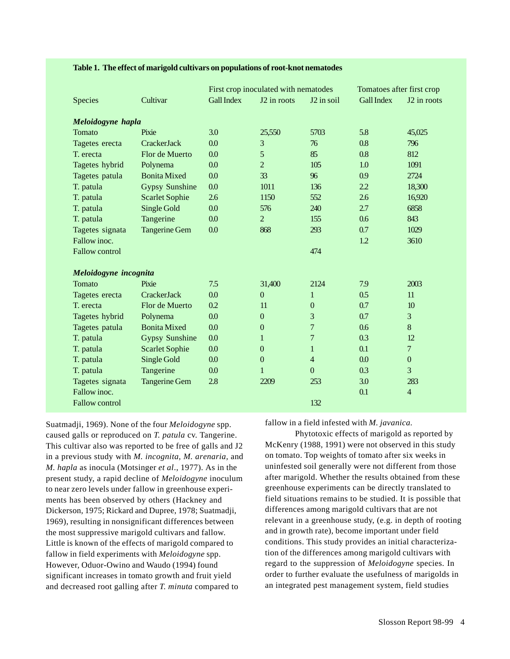|                       |                       | First crop inoculated with nematodes |                  | Tomatoes after first crop |                   |                         |  |  |  |  |
|-----------------------|-----------------------|--------------------------------------|------------------|---------------------------|-------------------|-------------------------|--|--|--|--|
| <b>Species</b>        | Cultivar              | <b>Gall Index</b>                    | J2 in roots      | J2 in soil                | <b>Gall Index</b> | J <sub>2</sub> in roots |  |  |  |  |
| Meloidogyne hapla     |                       |                                      |                  |                           |                   |                         |  |  |  |  |
| Tomato                | Pixie                 | 3.0                                  | 25,550           | 5703                      | 5.8               | 45,025                  |  |  |  |  |
| Tagetes erecta        | CrackerJack           | 0.0                                  | 3                | 76                        | 0.8               | 796                     |  |  |  |  |
| T. erecta             | Flor de Muerto        | 0.0                                  | 5                | 85                        | 0.8               | 812                     |  |  |  |  |
| Tagetes hybrid        | Polynema              | 0.0                                  | $\overline{2}$   | 105                       | 1.0               | 1091                    |  |  |  |  |
| Tagetes patula        | <b>Bonita Mixed</b>   | 0.0                                  | 33               | 96                        | 0.9               | 2724                    |  |  |  |  |
| T. patula             | <b>Gypsy Sunshine</b> | 0.0                                  | 1011             | 136                       | 2.2               | 18,300                  |  |  |  |  |
| T. patula             | <b>Scarlet Sophie</b> | 2.6                                  | 1150             | 552                       | 2.6               | 16,920                  |  |  |  |  |
| T. patula             | Single Gold           | 0.0                                  | 576              | 240                       | 2.7               | 6858                    |  |  |  |  |
| T. patula             | Tangerine             | 0.0                                  | $\overline{2}$   | 155                       | 0.6               | 843                     |  |  |  |  |
| Tagetes signata       | <b>Tangerine Gem</b>  | 0.0                                  | 868              | 293                       | 0.7               | 1029                    |  |  |  |  |
| Fallow inoc.          |                       |                                      |                  |                           | 1.2               | 3610                    |  |  |  |  |
| <b>Fallow control</b> |                       |                                      |                  | 474                       |                   |                         |  |  |  |  |
| Meloidogyne incognita |                       |                                      |                  |                           |                   |                         |  |  |  |  |
| Tomato                | Pixie                 | 7.5                                  | 31,400           | 2124                      | 7.9               | 2003                    |  |  |  |  |
| Tagetes erecta        | <b>CrackerJack</b>    | 0.0                                  | $\mathbf{0}$     | 1                         | 0.5               | 11                      |  |  |  |  |
| T. erecta             | Flor de Muerto        | 0.2                                  | 11               | $\boldsymbol{0}$          | 0.7               | 10 <sup>10</sup>        |  |  |  |  |
| Tagetes hybrid        | Polynema              | 0.0                                  | $\boldsymbol{0}$ | 3                         | 0.7               | 3                       |  |  |  |  |
| Tagetes patula        | <b>Bonita Mixed</b>   | 0.0                                  | $\boldsymbol{0}$ | $\overline{7}$            | 0.6               | 8                       |  |  |  |  |
| T. patula             | <b>Gypsy Sunshine</b> | 0.0                                  | 1                | $\overline{7}$            | 0.3               | 12                      |  |  |  |  |
| T. patula             | <b>Scarlet Sophie</b> | 0.0                                  | $\boldsymbol{0}$ | $\mathbf{1}$              | 0.1               | $\overline{7}$          |  |  |  |  |
| T. patula             | Single Gold           | 0.0                                  | $\boldsymbol{0}$ | $\overline{4}$            | 0.0               | $\boldsymbol{0}$        |  |  |  |  |
| T. patula             | Tangerine             | 0.0                                  | $\mathbf{1}$     | $\boldsymbol{0}$          | 0.3               | 3                       |  |  |  |  |
| Tagetes signata       | <b>Tangerine Gem</b>  | 2.8                                  | 2209             | 253                       | 3.0               | 283                     |  |  |  |  |
| Fallow inoc.          |                       |                                      |                  |                           | 0.1               | $\overline{4}$          |  |  |  |  |
| <b>Fallow control</b> |                       |                                      |                  | 132                       |                   |                         |  |  |  |  |

### **Table 1. The effect of marigold cultivars on populations of root-knot nematodes**

Suatmadji, 1969). None of the four *Meloidogyne* spp. caused galls or reproduced on *T. patula* cv. Tangerine. This cultivar also was reported to be free of galls and J2 in a previous study with *M. incognita, M. arenaria,* and *M. hapla* as inocula (Motsinger *et al*., 1977). As in the present study, a rapid decline of *Meloidogyne* inoculum to near zero levels under fallow in greenhouse experiments has been observed by others (Hackney and Dickerson, 1975; Rickard and Dupree, 1978; Suatmadji, 1969), resulting in nonsignificant differences between the most suppressive marigold cultivars and fallow. Little is known of the effects of marigold compared to fallow in field experiments with *Meloidogyne* spp. However, Oduor-Owino and Waudo (1994) found significant increases in tomato growth and fruit yield and decreased root galling after *T. minuta* compared to

fallow in a field infested with *M. javanica.*

Phytotoxic effects of marigold as reported by McKenry (1988, 1991) were not observed in this study on tomato. Top weights of tomato after six weeks in uninfested soil generally were not different from those after marigold. Whether the results obtained from these greenhouse experiments can be directly translated to field situations remains to be studied. It is possible that differences among marigold cultivars that are not relevant in a greenhouse study, (e.g. in depth of rooting and in growth rate), become important under field conditions. This study provides an initial characterization of the differences among marigold cultivars with regard to the suppression of *Meloidogyne* species. In order to further evaluate the usefulness of marigolds in an integrated pest management system, field studies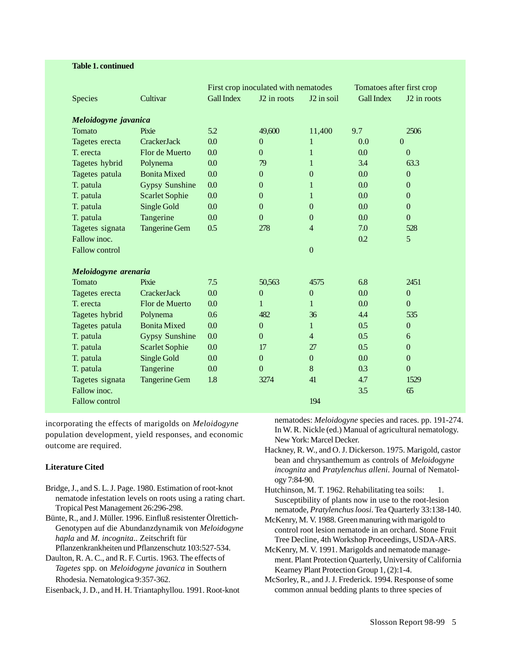#### **Table 1. continued**

|                       |                       | First crop inoculated with nematodes |                         | Tomatoes after first crop |                   |                         |  |  |  |  |
|-----------------------|-----------------------|--------------------------------------|-------------------------|---------------------------|-------------------|-------------------------|--|--|--|--|
| <b>Species</b>        | Cultivar              | <b>Gall Index</b>                    | J <sub>2</sub> in roots | J2 in soil                | <b>Gall Index</b> | J <sub>2</sub> in roots |  |  |  |  |
|                       |                       |                                      |                         |                           |                   |                         |  |  |  |  |
| Meloidogyne javanica  |                       |                                      |                         |                           |                   |                         |  |  |  |  |
| Tomato                | Pixie                 | 5.2                                  | 49,600                  | 11,400                    | 9.7               | 2506                    |  |  |  |  |
| Tagetes erecta        | CrackerJack           | 0.0                                  | $\Omega$                | $\mathbf{1}$              | 0.0               | $\overline{0}$          |  |  |  |  |
| T. erecta             | Flor de Muerto        | 0.0                                  | $\Omega$                | 1                         | 0.0               | $\Omega$                |  |  |  |  |
| Tagetes hybrid        | Polynema              | 0.0                                  | 79                      | 1                         | 3.4               | 63.3                    |  |  |  |  |
| Tagetes patula        | <b>Bonita Mixed</b>   | 0.0                                  | $\overline{0}$          | $\overline{0}$            | 0.0               | $\boldsymbol{0}$        |  |  |  |  |
| T. patula             | <b>Gypsy Sunshine</b> | 0.0                                  | $\boldsymbol{0}$        | 1                         | 0.0               | $\boldsymbol{0}$        |  |  |  |  |
| T. patula             | <b>Scarlet Sophie</b> | 0.0                                  | $\overline{0}$          | $\mathbf{1}$              | 0.0               | $\overline{0}$          |  |  |  |  |
| T. patula             | Single Gold           | 0.0                                  | $\overline{0}$          | $\overline{0}$            | 0.0               | $\overline{0}$          |  |  |  |  |
| T. patula             | Tangerine             | 0.0                                  | $\Omega$                | $\overline{0}$            | 0.0               | $\Omega$                |  |  |  |  |
| Tagetes signata       | <b>Tangerine Gem</b>  | 0.5                                  | 278                     | $\overline{4}$            | 7.0               | 528                     |  |  |  |  |
| Fallow inoc.          |                       |                                      |                         |                           | 0.2               | 5                       |  |  |  |  |
| <b>Fallow control</b> |                       |                                      |                         | $\mathbf{0}$              |                   |                         |  |  |  |  |
| Meloidogyne arenaria  |                       |                                      |                         |                           |                   |                         |  |  |  |  |
| Tomato                | Pixie                 | 7.5                                  | 50,563                  | 4575                      | 6.8               | 2451                    |  |  |  |  |
|                       | CrackerJack           | 0.0                                  | $\boldsymbol{0}$        | $\mathbf{0}$              | 0.0               | $\boldsymbol{0}$        |  |  |  |  |
| Tagetes erecta        |                       |                                      | $\mathbf{1}$            |                           |                   |                         |  |  |  |  |
| T. erecta             | Flor de Muerto        | 0.0                                  |                         | $\mathbf{1}$              | 0.0               | $\mathbf{0}$            |  |  |  |  |
| Tagetes hybrid        | Polynema              | 0.6                                  | 482                     | 36                        | 4.4               | 535                     |  |  |  |  |
| Tagetes patula        | <b>Bonita Mixed</b>   | 0.0                                  | $\overline{0}$          | $\mathbf{1}$              | 0.5               | $\boldsymbol{0}$        |  |  |  |  |
| T. patula             | <b>Gypsy Sunshine</b> | 0.0                                  | $\overline{0}$          | $\overline{4}$            | 0.5               | 6                       |  |  |  |  |
| T. patula             | <b>Scarlet Sophie</b> | 0.0                                  | 17                      | 27                        | 0.5               | $\mathbf{0}$            |  |  |  |  |
| T. patula             | Single Gold           | 0.0                                  | $\overline{0}$          | $\overline{0}$            | 0.0               | $\overline{0}$          |  |  |  |  |
| T. patula             | Tangerine             | 0.0                                  | $\mathbf{0}$            | 8                         | 0.3               | $\overline{0}$          |  |  |  |  |
| Tagetes signata       | <b>Tangerine Gem</b>  | 1.8                                  | 3274                    | 41                        | 4.7               | 1529                    |  |  |  |  |
| Fallow inoc.          |                       |                                      |                         |                           | 3.5               | 65                      |  |  |  |  |
| <b>Fallow control</b> |                       |                                      |                         | 194                       |                   |                         |  |  |  |  |

incorporating the effects of marigolds on *Meloidogyne* population development, yield responses, and economic outcome are required.

## **Literature Cited**

- Bridge, J., and S. L. J. Page. 1980. Estimation of root-knot nematode infestation levels on roots using a rating chart. Tropical Pest Management 26:296-298.
- Bünte, R., and J. Müller. 1996. Einfluß resistenter Ölrettich-Genotypen auf die Abundanzdynamik von *Meloidogyne hapla* and *M. incognita*.. Zeitschrift für Pflanzenkrankheiten und Pflanzenschutz 103:527-534.
- Daulton, R. A. C., and R. F. Curtis. 1963. The effects of *Tagetes* spp. on *Meloidogyne javanica* in Southern Rhodesia. Nematologica 9:357-362.
- Eisenback, J. D., and H. H. Triantaphyllou. 1991. Root-knot

nematodes: *Meloidogyne* species and races. pp. 191-274. In W. R. Nickle (ed.) Manual of agricultural nematology. New York: Marcel Decker.

- Hackney, R. W., and O. J. Dickerson. 1975. Marigold, castor bean and chrysanthemum as controls of *Meloidogyne incognita* and *Pratylenchus alleni*. Journal of Nematology 7:84-90.
- Hutchinson, M. T. 1962. Rehabilitating tea soils: 1. Susceptibility of plants now in use to the root-lesion nematode, *Pratylenchus loosi*. Tea Quarterly 33:138-140.
- McKenry, M. V. 1988. Green manuring with marigold to control root lesion nematode in an orchard. Stone Fruit Tree Decline, 4th Workshop Proceedings, USDA-ARS.
- McKenry, M. V. 1991. Marigolds and nematode management. Plant Protection Quarterly, University of California Kearney Plant Protection Group 1, (2):1-4.
- McSorley, R., and J. J. Frederick. 1994. Response of some common annual bedding plants to three species of